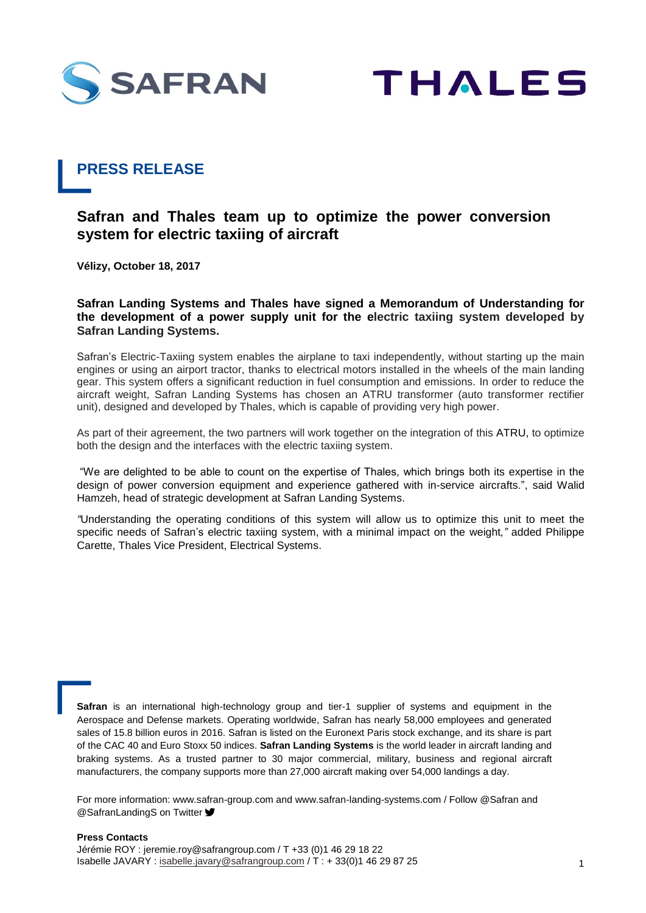



## **PRESS RELEASE**

## **Safran and Thales team up to optimize the power conversion system for electric taxiing of aircraft**

**Vélizy, October 18, 2017**

**Safran Landing Systems and Thales have signed a Memorandum of Understanding for the development of a power supply unit for the electric taxiing system developed by Safran Landing Systems.** 

Safran's Electric-Taxiing system enables the airplane to taxi independently, without starting up the main engines or using an airport tractor, thanks to electrical motors installed in the wheels of the main landing gear. This system offers a significant reduction in fuel consumption and emissions. In order to reduce the aircraft weight, Safran Landing Systems has chosen an ATRU transformer (auto transformer rectifier unit), designed and developed by Thales, which is capable of providing very high power.

As part of their agreement, the two partners will work together on the integration of this ATRU, to optimize both the design and the interfaces with the electric taxiing system.

"We are delighted to be able to count on the expertise of Thales, which brings both its expertise in the design of power conversion equipment and experience gathered with in-service aircrafts.", said Walid Hamzeh, head of strategic development at Safran Landing Systems.

*"*Understanding the operating conditions of this system will allow us to optimize this unit to meet the specific needs of Safran's electric taxiing system, with a minimal impact on the weight*,"* added Philippe Carette, Thales Vice President, Electrical Systems.

**Safran** is an international high-technology group and tier-1 supplier of systems and equipment in the Aerospace and Defense markets. Operating worldwide, Safran has nearly 58,000 employees and generated sales of 15.8 billion euros in 2016. Safran is listed on the Euronext Paris stock exchange, and its share is part of the CAC 40 and Euro Stoxx 50 indices. **Safran Landing Systems** is the world leader in aircraft landing and braking systems. As a trusted partner to 30 major commercial, military, business and regional aircraft manufacturers, the company supports more than 27,000 aircraft making over 54,000 landings a day.

For more information: www.safran-group.com and www.safran-landing-systems.com / Follow @Safran and **@SafranLandingS on Twitter**